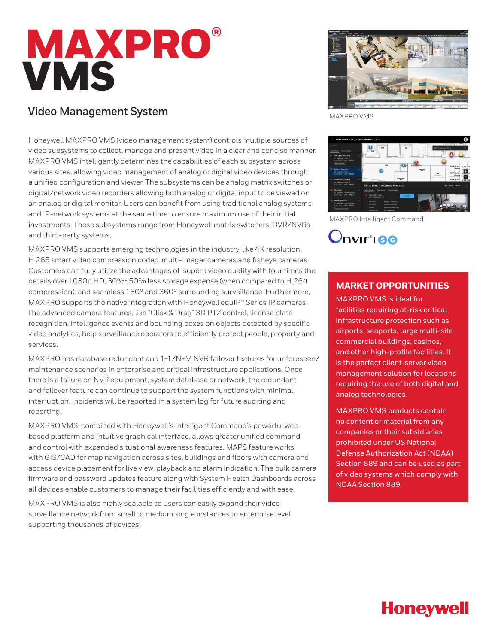# **MAXPRO® VMS**

## **Video Management System**

Honeywell MAXPRO VMS (video management system) controls multiple sources of video subsystems to collect, manage and present video in a clear and concise manner. MAXPRO VMS intelligently determines the capabilities of each subsystem across various sites, allowing video management of analog or digital video devices through a unified configuration and viewer. The subsystems can be analog matrix switches or digital/network video recorders allowing both analog or digital input to be viewed on an analog or digital monitor. Users can benefit from using traditional analog systems and IP-network systems at the same time to ensure maximum use of their initial investments. These subsystems range from Honeywell matrix switchers, DVR/NVRs and third-party systems.

MAXPRO VMS supports emerging technologies in the industry, like 4K resolution, H.265 smart video compression codec, multi-imager cameras and fisheye cameras. Customers can fully utilize the advantages of superb video quality with four times the details over 1080p HD, 30%~50% less storage expense (when compared to H.264 compression), and seamless 180° and 360° surrounding surveillance. Furthermore, MAXPRO supports the native integration with Honeywell equIP® Series IP cameras. The advanced camera features, like "Click & Drag" 3D PTZ control, license plate recognition, intelligence events and bounding boxes on objects detected by specific video analytics, help surveillance operators to efficiently protect people, property and services.

MAXPRO has database redundant and 1+1/N+M NVR failover features for unforeseen/ maintenance scenarios in enterprise and critical infrastructure applications. Once there is a failure on NVR equipment, system database or network, the redundant and failover feature can continue to support the system functions with minimal interruption. Incidents will be reported in a system log for future auditing and reporting.

MAXPRO VMS, combined with Honeywell's Intelligent Command's powerful webbased platform and intuitive graphical interface, allows greater unified command and control with expanded situational awareness features. MAPS feature works with GIS/CAD for map navigation across sites, buildings and floors with camera and access device placement for live view, playback and alarm indication. The bulk camera firmware and password updates feature along with System Health Dashboards across all devices enable customers to manage their facilities efficiently and with ease.

MAXPRO VMS is also highly scalable so users can easily expand their video surveillance network from small to medium single instances to enterprise level supporting thousands of devices.



MAXPRO VMS



MAXPRO Intelligent Command

Onvir<sup>'</sup>ise

## **MARKET OPPORTUNITIES**

MAXPRO VMS is ideal for facilities requiring at-risk critical infrastructure protection such as airports, seaports, large multi-site commercial buildings, casinos, and other high-profile facilities. It is the perfect client-server video management solution for locations requiring the use of both digital and analog technologies.

MAXPRO VMS products contain no content or material from any companies or their subsidiaries prohibited under US National Defense Authorization Act (NDAA) Section 889 and can be used as part of video systems which comply with NDAA Section 889.

# **Honeywell**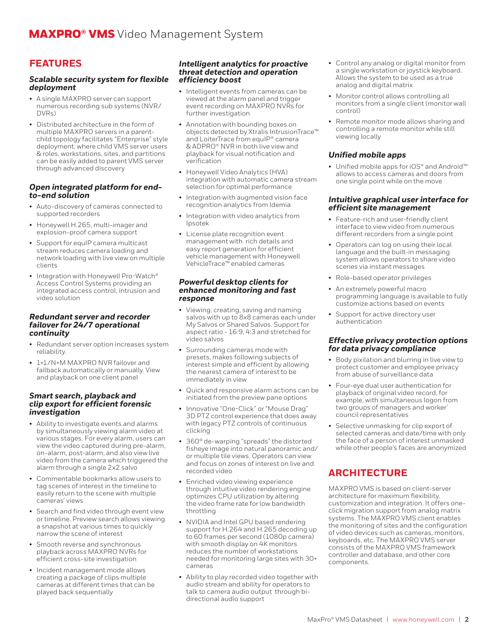## **FEATURES**

#### *Scalable security system for flexible deployment*

- A single MAXPRO server can support numerous recording sub systems (NVR/ DVRs)
- Distributed architecture in the form of multiple MAXPRO servers in a parentchild topology facilitates "Enterprise" style deployment, where child VMS server users & roles, workstations, sites, and partitions can be easily added to parent VMS server through advanced discovery

#### *Open integrated platform for endto-end solution*

- Auto-discovery of cameras connected to supported recorders
- Honeywell H.265, multi-imager and explosion-proof camera support
- Support for equIP camera multicast stream reduces camera loading and network loading with live view on multiple clients
- Integration with Honeywell Pro-Watch® Access Control Systems providing an integrated access control, intrusion and video solution

#### *Redundant server and recorder failover for 24/7 operational continuity*

- Redundant server option increases system reliability.
- 1+1/N+M MAXPRO NVR failover and failback automatically or manually. View and playback on one client panel

#### *Smart search, playback and clip export for efficient forensic investigation*

- Ability to investigate events and alarms by simultaneously viewing alarm video at various stages. For every alarm, users can view the video captured during pre-alarm, on-alarm, post-alarm, and also view live video from the camera which triggered the alarm through a single 2x2 salvo
- Commentable bookmarks allow users to tag scenes of interest in the timeline to easily return to the scene with multiple cameras' views
- Search and find video through event view or timeline. Preview search allows viewing a snapshot at various times to quickly narrow the scene of interest
- Smooth reverse and synchronous playback across MAXPRO NVRs for efficient cross-site investigation
- Incident management mode allows creating a package of clips multiple cameras at different times that can be played back sequentially

#### *Intelligent analytics for proactive threat detection and operation efficiency boost*

- Intelligent events from cameras can be viewed at the alarm panel and trigger event recording on MAXPRO NVRs for further investigation
- Annotation with bounding boxes on objects detected by Xtralis IntrusionTrace™ and LoiterTrace from equIP® camera & ADPRO® NVR in both live view and playback for visual notification and verification
- Honeywell Video Analytics (HVA) integration with automatic camera stream selection for optimal performance
- Integration with augmented vision face recognition analytics from Idemia
- Integration with video analytics from Ipsotek
- License plate recognition event management with rich details and easy report generation for efficient vehicle management with Honeywell VehicleTrace™ enabled cameras

#### *Powerful desktop clients for enhanced monitoring and fast response*

- Viewing, creating, saving and naming salvos with up to 8x8 cameras each under My Salvos or Shared Salvos. Support for aspect ratio - 16:9, 4:3 and stretched for video salvos
- Surrounding cameras mode with presets, makes following subjects of interest simple and efficient by allowing the nearest camera of interest to be immediately in view
- Quick and responsive alarm actions can be initiated from the preview pane options
- Innovative "One-Click" or "Mouse Drag" 3D PTZ control experience that does away with legacy PTZ controls of continuous clicking
- 360° de-warping "spreads" the distorted fisheye image into natural panoramic and/ or multiple tile views. Operators can view and focus on zones of interest on live and recorded video
- Enriched video viewing experience through intuitive video rendering engine optimizes CPU utilization by altering the video frame rate for low bandwidth throttling
- NVIDIA and Intel GPU based rendering support for H.264 and H.265 decoding up to 60 frames per second (1080p camera) with smooth display on 4K monitors reduces the number of workstations needed for monitoring large sites with 30+ cameras
- Ability to play recorded video together with audio stream and ability for operators to talk to camera audio output through bidirectional audio support
- Control any analog or digital monitor from a single workstation or joystick keyboard. Allows the system to be used as a true analog and digital matrix
- Monitor control allows controlling all monitors from a single client (monitor wall control)
- Remote monitor mode allows sharing and controlling a remote monitor while still viewing locally

#### *Unified mobile apps*

• Unified mobile apps for iOS® and Android™ allows to access cameras and doors from one single point while on the move

#### *Intuitive graphical user interface for efficient site management*

- Feature-rich and user-friendly client interface to view video from numerous different recorders from a single point
- Operators can log on using their local language and the built-in messaging system allows operators to share video scenes via instant messages
- Role-based operator privileges
- An extremely powerful macro programming language is available to fully customize actions based on events
- Support for active directory user authentication

#### *Effective privacy protection options for data privacy compliance*

- Body pixilation and blurring in live view to protect customer and employee privacy from abuse of surveillance data
- Four-eye dual user authentication for playback of original video record, for example, with simultaneous logon from two groups of managers and worker' council representatives
- Selective unmasking for clip export of selected cameras and date/time with only the face of a person of interest unmasked while other people's faces are anonymized

## **ARCHITECTURE**

MAXPRO VMS is based on client-server architecture for maximum flexibility, customization and integration. It offers oneclick migration support from analog matrix systems. The MAXPRO VMS client enables the monitoring of sites and the configuration of video devices such as cameras, monitors, keyboards, etc. The MAXPRO VMS server consists of the MAXPRO VMS framework controller and database, and other core components.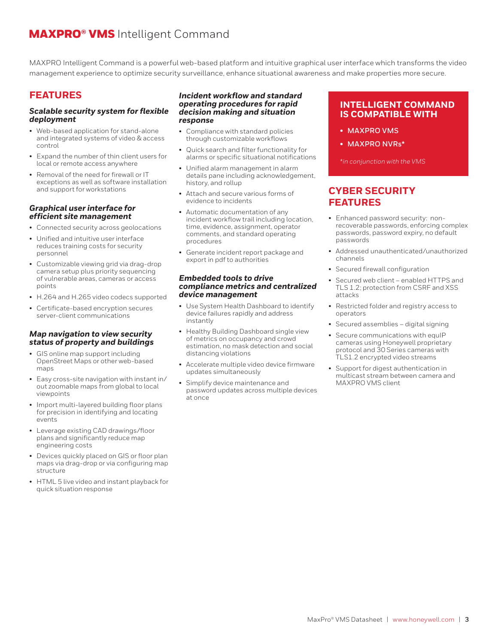## MAXPRO® VMS Intelligent Command

MAXPRO Intelligent Command is a powerful web-based platform and intuitive graphical user interface which transforms the video management experience to optimize security surveillance, enhance situational awareness and make properties more secure.

## **FEATURES**

#### *Scalable security system for flexible deployment*

- Web-based application for stand-alone and integrated systems of video & access control
- Expand the number of thin client users for local or remote access anywhere
- Removal of the need for firewall or IT exceptions as well as software installation and support for workstations

#### *Graphical user interface for efficient site management*

- Connected security across geolocations
- Unified and intuitive user interface reduces training costs for security personnel
- Customizable viewing grid via drag-drop camera setup plus priority sequencing of vulnerable areas, cameras or access points
- H.264 and H.265 video codecs supported
- Certificate-based encryption secures server-client communications

#### *Map navigation to view security status of property and buildings*

- GIS online map support including OpenStreet Maps or other web-based maps
- Easy cross-site navigation with instant in/ out zoomable maps from global to local viewpoints
- Import multi-layered building floor plans for precision in identifying and locating events
- Leverage existing CAD drawings/floor plans and significantly reduce map engineering costs
- Devices quickly placed on GIS or floor plan maps via drag-drop or via configuring map structure
- HTML 5 live video and instant playback for quick situation response

#### *Incident workflow and standard operating procedures for rapid decision making and situation response*

- Compliance with standard policies through customizable workflows
- Quick search and filter functionality for alarms or specific situational notifications
- Unified alarm management in alarm details pane including acknowledgement, history, and rollup
- Attach and secure various forms of evidence to incidents
- Automatic documentation of any incident workflow trail including location, time, evidence, assignment, operator comments, and standard operating procedures
- Generate incident report package and export in pdf to authorities

#### *Embedded tools to drive compliance metrics and centralized device management*

- Use System Health Dashboard to identify device failures rapidly and address instantly
- Healthy Building Dashboard single view of metrics on occupancy and crowd estimation, no mask detection and social distancing violations
- Accelerate multiple video device firmware updates simultaneously
- Simplify device maintenance and password updates across multiple devices at once

### **INTELLIGENT COMMAND IS COMPATIBLE WITH**

- **• MAXPRO VMS**
- **• MAXPRO NVRs\***

*\*in conjunction with the VMS*

## **CYBER SECURITY FEATURES**

- Enhanced password security: nonrecoverable passwords, enforcing complex passwords, password expiry, no default passwords
- Addressed unauthenticated/unauthorized channels
- Secured firewall configuration
- Secured web client enabled HTTPS and TLS 1.2; protection from CSRF and XSS attacks
- Restricted folder and registry access to operators
- Secured assemblies digital signing
- Secure communications with equIP cameras using Honeywell proprietary protocol and 30 Series cameras with TLS1.2 encrypted video streams
- Support for digest authentication in multicast stream between camera and MAXPRO VMS client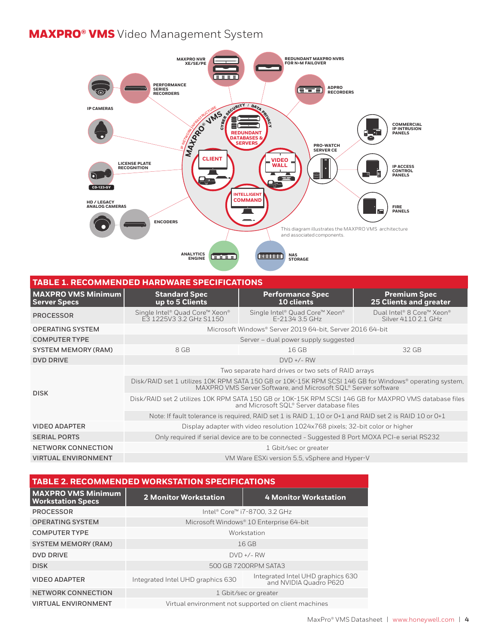## MAXPRO® VMS Video Management System



### **TABLE 1. RECOMMENDED HARDWARE SPECIFICATIONS**

| <b>MAXPRO VMS Minimum</b><br><b>Server Specs</b> | <b>Standard Spec</b><br>up to 5 Clients                                                                                                                                  | <b>Performance Spec</b><br>10 clients            | <b>Premium Spec</b><br><b>25 Clients and greater</b> |  |
|--------------------------------------------------|--------------------------------------------------------------------------------------------------------------------------------------------------------------------------|--------------------------------------------------|------------------------------------------------------|--|
| <b>PROCESSOR</b>                                 | Single Intel® Quad Core™ Xeon®<br>F3 1225V3 3.2 GHz S1150                                                                                                                | Single Intel® Quad Core™ Xeon®<br>F-2134 3.5 GHz | Dual Intel® 8 Core™ Xeon®<br>Silver 4110 2.1 GHz     |  |
| <b>OPERATING SYSTEM</b>                          | Microsoft Windows® Server 2019 64-bit, Server 2016 64-bit                                                                                                                |                                                  |                                                      |  |
| <b>COMPUTER TYPE</b>                             | Server – dual power supply suggested                                                                                                                                     |                                                  |                                                      |  |
| SYSTEM MEMORY (RAM)                              | 8 GB                                                                                                                                                                     | 16 GB                                            | 32 GB                                                |  |
| <b>DVD DRIVE</b>                                 | $DVD +/- RW$                                                                                                                                                             |                                                  |                                                      |  |
| <b>DISK</b>                                      | Two separate hard drives or two sets of RAID arrays                                                                                                                      |                                                  |                                                      |  |
|                                                  | Disk/RAID set 1 utilizes 10K RPM SATA 150 GB or 10K-15K RPM SCSI 146 GB for Windows® operating system,<br>MAXPRO VMS Server Software, and Microsoft SQL® Server software |                                                  |                                                      |  |
|                                                  | Disk/RAID set 2 utilizes 10K RPM SATA 150 GB or 10K-15K RPM SCSI 146 GB for MAXPRO VMS database files<br>and Microsoft SQL® Server database files                        |                                                  |                                                      |  |
|                                                  | Note: If fault tolerance is required, RAID set 1 is RAID 1, 10 or 0+1 and RAID set 2 is RAID 10 or 0+1                                                                   |                                                  |                                                      |  |
| <b>VIDEO ADAPTER</b>                             | Display adapter with video resolution 1024x768 pixels; 32-bit color or higher                                                                                            |                                                  |                                                      |  |
| <b>SERIAL PORTS</b>                              | Only required if serial device are to be connected - Suggested 8 Port MOXA PCI-e serial RS232                                                                            |                                                  |                                                      |  |
| NETWORK CONNECTION                               | 1 Gbit/sec or greater                                                                                                                                                    |                                                  |                                                      |  |
| <b>VIRTUAL ENVIRONMENT</b>                       | VM Ware ESXi version 5.5, vSphere and Hyper-V                                                                                                                            |                                                  |                                                      |  |

| <b>TABLE 2. RECOMMENDED WORKSTATION SPECIFICATIONS</b> |                                                      |                                                             |  |  |  |
|--------------------------------------------------------|------------------------------------------------------|-------------------------------------------------------------|--|--|--|
| <b>MAXPRO VMS Minimum</b><br><b>Workstation Specs</b>  | <b>2 Monitor Workstation</b>                         | <b>4 Monitor Workstation</b>                                |  |  |  |
| <b>PROCESSOR</b>                                       | Intel® Core™ i7-8700, 3.2 GHz                        |                                                             |  |  |  |
| <b>OPERATING SYSTEM</b>                                | Microsoft Windows® 10 Enterprise 64-bit              |                                                             |  |  |  |
| <b>COMPUTER TYPE</b>                                   | Workstation                                          |                                                             |  |  |  |
| <b>SYSTEM MEMORY (RAM)</b>                             | $16$ GB                                              |                                                             |  |  |  |
| <b>DVD DRIVE</b>                                       | $DVD +/- RW$                                         |                                                             |  |  |  |
| <b>DISK</b>                                            | 500 GB 7200RPM SATA3                                 |                                                             |  |  |  |
| <b>VIDEO ADAPTER</b>                                   | Integrated Intel UHD graphics 630                    | Integrated Intel UHD graphics 630<br>and NVIDIA Quadro P620 |  |  |  |
| <b>NETWORK CONNECTION</b>                              | 1 Gbit/sec or greater                                |                                                             |  |  |  |
| <b>VIRTUAL ENVIRONMENT</b>                             | Virtual environment not supported on client machines |                                                             |  |  |  |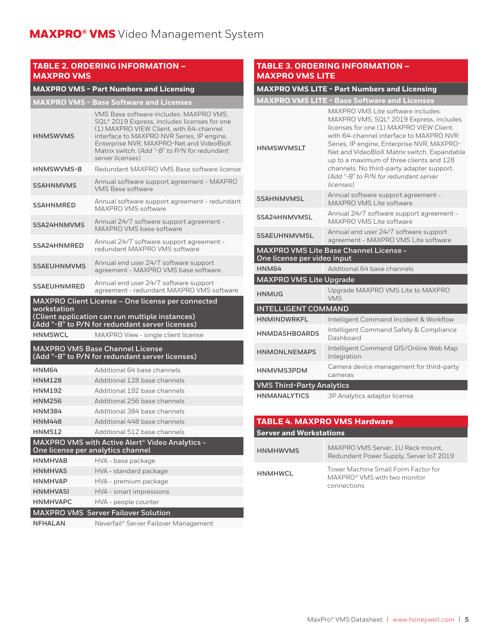#### **TABLE 2. ORDERING INFORMATION – MAXPRO VMS**

## **MAXPRO VMS - Part Numbers and Licensing**

| <b>HNMSWVMS</b>                                                                                                                                                        | VMS Base software includes: MAXPRO VMS.<br>SQL® 2019 Express, includes licenses for one<br>(1) MAXPRO VIEW Client, with 64-channel<br>interface to MAXPRO NVR Series, IP engine,<br>Enterprise NVR, MAXPRO-Net and VideoBloX<br>Matrix switch. (Add "-B" to P/N for redundant<br>server licenses) |  |  |
|------------------------------------------------------------------------------------------------------------------------------------------------------------------------|---------------------------------------------------------------------------------------------------------------------------------------------------------------------------------------------------------------------------------------------------------------------------------------------------|--|--|
| <b>HNMSWVMS-B</b>                                                                                                                                                      | Redundant MAXPRO VMS Base software license                                                                                                                                                                                                                                                        |  |  |
| <b>SSAHNMVMS</b>                                                                                                                                                       | Annual software support agreement - MAXPRO<br><b>VMS Base software</b>                                                                                                                                                                                                                            |  |  |
| <b>SSAHNMRED</b>                                                                                                                                                       | Annual software support agreement - redundant<br>MAXPRO VMS software                                                                                                                                                                                                                              |  |  |
| SSA24HNMVMS                                                                                                                                                            | Annual 24/7 software support agreement -<br>MAXPRO VMS base software                                                                                                                                                                                                                              |  |  |
| SSA24HNMRED                                                                                                                                                            | Annual 24/7 software support agreement -<br>redundant MAXPRO VMS software                                                                                                                                                                                                                         |  |  |
| <b>SSAEUHNMVMS</b>                                                                                                                                                     | Annual end user 24/7 software support<br>agreement - MAXPRO VMS base software                                                                                                                                                                                                                     |  |  |
| <b>SSAEUHNMRED</b>                                                                                                                                                     | Annual end user 24/7 software support<br>agreement - redundant MAXPRO VMS software                                                                                                                                                                                                                |  |  |
| MAXPRO Client License - One license per connected<br>workstation<br>(Client application can run multiple instances)<br>(Add "-B" to P/N for redundant server licenses) |                                                                                                                                                                                                                                                                                                   |  |  |
| <b>HNMSWCL</b>                                                                                                                                                         | MAXPRO View - single client license                                                                                                                                                                                                                                                               |  |  |
| <b>MAXPRO VMS Base Channel License</b><br>(Add "-B" to P/N for redundant server licenses)                                                                              |                                                                                                                                                                                                                                                                                                   |  |  |
| HNM64                                                                                                                                                                  | Additional 64 base channels                                                                                                                                                                                                                                                                       |  |  |
| <b>HNM128</b>                                                                                                                                                          | Additional 128 base channels                                                                                                                                                                                                                                                                      |  |  |
| <b>HNM192</b>                                                                                                                                                          | Additional 192 base channels                                                                                                                                                                                                                                                                      |  |  |
| <b>HNM256</b>                                                                                                                                                          | Additional 256 base channels                                                                                                                                                                                                                                                                      |  |  |
| <b>HNM384</b>                                                                                                                                                          | Additional 384 base channels                                                                                                                                                                                                                                                                      |  |  |
| <b>HNM448</b>                                                                                                                                                          |                                                                                                                                                                                                                                                                                                   |  |  |
|                                                                                                                                                                        | Additional 448 base channels                                                                                                                                                                                                                                                                      |  |  |
| <b>HNM512</b>                                                                                                                                                          | Additional 512 base channels                                                                                                                                                                                                                                                                      |  |  |
|                                                                                                                                                                        | MAXPRO VMS with Active Alert <sup>®</sup> Video Analytics -<br>One license per analytics channel                                                                                                                                                                                                  |  |  |
| <b>HNMHVAB</b>                                                                                                                                                         | HVA - base package                                                                                                                                                                                                                                                                                |  |  |
| <b>HNMHVAS</b>                                                                                                                                                         | HVA - standard package                                                                                                                                                                                                                                                                            |  |  |
| <b>HNMHVAP</b>                                                                                                                                                         | HVA - premium package                                                                                                                                                                                                                                                                             |  |  |
| <b>HNMHVASI</b>                                                                                                                                                        | HVA - smart impressions                                                                                                                                                                                                                                                                           |  |  |
| <b>HNMHVAPC</b>                                                                                                                                                        | HVA - people counter                                                                                                                                                                                                                                                                              |  |  |
|                                                                                                                                                                        | <b>MAXPRO VMS Server Failover Solution</b>                                                                                                                                                                                                                                                        |  |  |

#### **TABLE 3. ORDERING INFORMATION – MAXPRO VMS LITE**

## **MAXPRO VMS LITE - Part Numbers and Licensing**

|                                                                              | <b>MAXPRO VMS LITE - Base Software and Licenses</b>                                                                                                                                                                                                                                                                                                                                                              |  |  |  |
|------------------------------------------------------------------------------|------------------------------------------------------------------------------------------------------------------------------------------------------------------------------------------------------------------------------------------------------------------------------------------------------------------------------------------------------------------------------------------------------------------|--|--|--|
| <b>HNMSWVMSLT</b>                                                            | MAXPRO VMS Lite software includes:<br>MAXPRO VMS, SQL® 2019 Express, includes<br>licenses for one (1) MAXPRO VIEW Client,<br>with 64-channel interface to MAXPRO NVR<br>Series, IP engine, Enterprise NVR, MAXPRO-<br>Net and VideoBloX Matrix switch. Expandable<br>up to a maximum of three clients and 128<br>channels. No third-party adapter support.<br>(Add "-B" to P/N for redundant server<br>licenses) |  |  |  |
| <b>SSAHNMVMSL</b>                                                            | Annual software support agreement -<br>MAXPRO VMS Lite software                                                                                                                                                                                                                                                                                                                                                  |  |  |  |
| SSA24HNMVMSL                                                                 | Annual 24/7 software support agreement -<br>MAXPRO VMS Lite software                                                                                                                                                                                                                                                                                                                                             |  |  |  |
| <b>SSAEUHNMVMSL</b>                                                          | Annual end user 24/7 software support<br>agreement - MAXPRO VMS Lite software                                                                                                                                                                                                                                                                                                                                    |  |  |  |
| <b>MAXPRO VMS Lite Base Channel License -</b><br>One license per video input |                                                                                                                                                                                                                                                                                                                                                                                                                  |  |  |  |
| HNM64                                                                        | Additional 64 base channels                                                                                                                                                                                                                                                                                                                                                                                      |  |  |  |
| <b>MAXPRO VMS Lite Upgrade</b>                                               |                                                                                                                                                                                                                                                                                                                                                                                                                  |  |  |  |
| <b>HNMUG</b>                                                                 | Upgrade MAXPRO VMS Lite to MAXPRO<br><b>VMS</b>                                                                                                                                                                                                                                                                                                                                                                  |  |  |  |
| <b>INTELLIGENT COMMAND</b>                                                   |                                                                                                                                                                                                                                                                                                                                                                                                                  |  |  |  |
| <b>HNMINDWRKFL</b>                                                           | Intelligent Command Incident & Workflow                                                                                                                                                                                                                                                                                                                                                                          |  |  |  |
| <b>HNMDASHBOARDS</b>                                                         | Intelligent Command Safety & Compliance<br>Dashboard                                                                                                                                                                                                                                                                                                                                                             |  |  |  |
| <b>HNMONLNEMAPS</b>                                                          | Intelligent Command GIS/Online Web Map<br>Integration                                                                                                                                                                                                                                                                                                                                                            |  |  |  |
| HNMVMS3PDM                                                                   | Camera device management for third-party<br>cameras                                                                                                                                                                                                                                                                                                                                                              |  |  |  |
| <b>VMS Third-Party Analytics</b>                                             |                                                                                                                                                                                                                                                                                                                                                                                                                  |  |  |  |
| <b>HNMANALYTICS</b>                                                          | 3P Analytics adaptor license                                                                                                                                                                                                                                                                                                                                                                                     |  |  |  |

### **TABLE 4. MAXPRO VMS Hardware Server and Workstations**

| <b>HNMHWVMS</b> | MAXPRO VMS Server, 1U Rack mount,<br>Redundant Power Supply, Server IoT 2019       |
|-----------------|------------------------------------------------------------------------------------|
| HNMHWCL         | Tower Machine Small Form Factor for<br>MAXPRO® VMS with two monitor<br>connections |